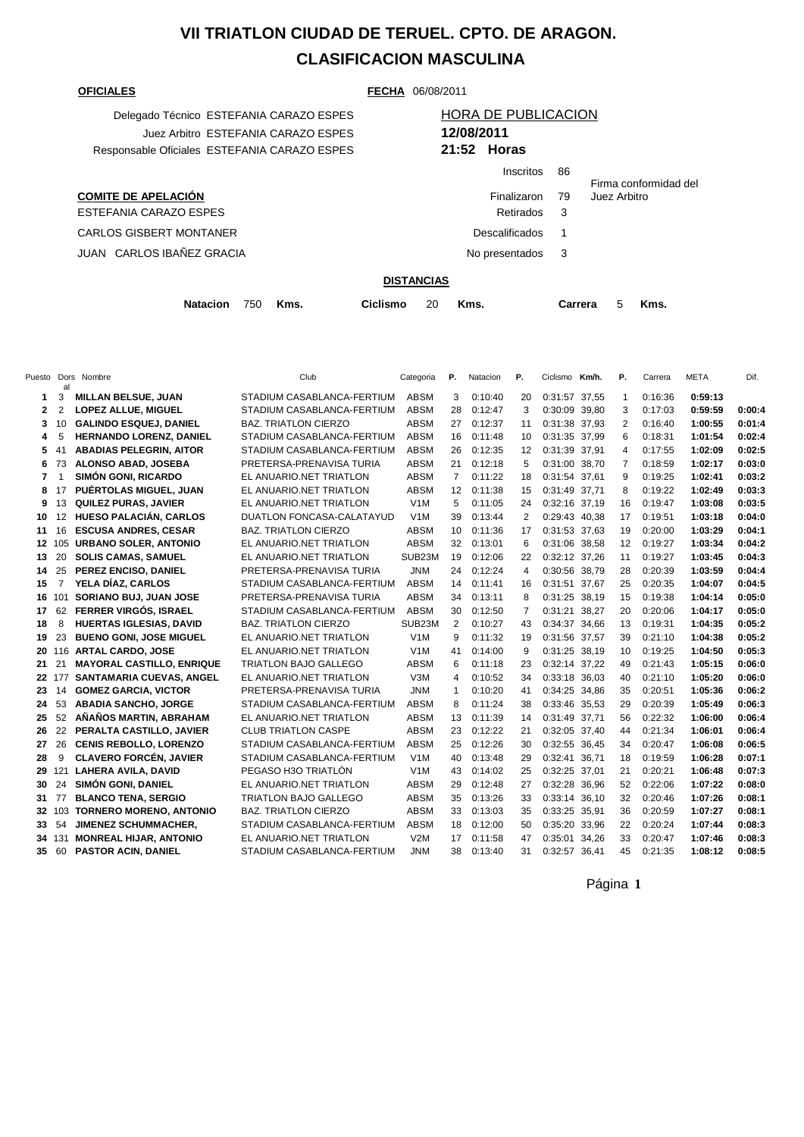## **VII TRIATLON CIUDAD DE TERUEL. CPTO. DE ARAGON. CLASIFICACION MASCULINA**

**COMITE DE APELACIÓN** ESTEFANIA CARAZO ESPES CARLOS GISBERT MONTANER JUAN CARLOS IBAÑEZ GRACIA

**OFICIALES FECHA** 06/08/2011

| Delegado Técnico ESTEFANIA CARAZO ESPES      | <b>HORA DE PUBLICACION</b> |
|----------------------------------------------|----------------------------|
| Juez Arbitro ESTEFANIA CARAZO ESPES          | 12/08/2011                 |
| Responsable Oficiales ESTEFANIA CARAZO ESPES | 21:52 Horas                |

## Juez Arbitro ESTEFANIA CARAZO ESPES **12/08/2011** Responsable Oficiales ESTEFANIA CARAZO ESPES **21:52 Horas** Inscritos 86

|                  |      | Firma conformidad del |
|------------------|------|-----------------------|
| Finalizaron      | - 79 | Juez Arbitro          |
| Retirados        | -3   |                       |
| Descalificados 1 |      |                       |
| No presentados 3 |      |                       |
|                  |      |                       |

## **DISTANCIAS**

| Natacion 750 Kms.<br>Ciclismo 20 Kms. |  |  |  |  |  |  |  |  | Carrera | 5 Kms. |  |  |
|---------------------------------------|--|--|--|--|--|--|--|--|---------|--------|--|--|
|---------------------------------------|--|--|--|--|--|--|--|--|---------|--------|--|--|

|    | al             | Puesto Dors Nombre               | Club                        | Categoria        | Р.             | Natacion | Р.             | Ciclismo Km/h. |       | P.             | Carrera | <b>META</b> | Dif.   |
|----|----------------|----------------------------------|-----------------------------|------------------|----------------|----------|----------------|----------------|-------|----------------|---------|-------------|--------|
| 1  | 3              | <b>MILLAN BELSUE, JUAN</b>       | STADIUM CASABLANCA-FERTIUM  | <b>ABSM</b>      | 3              | 0:10:40  | 20             | 0:31:57 37,55  |       | $\mathbf{1}$   | 0:16:36 | 0:59:13     |        |
| 2  | 2              | <b>LOPEZ ALLUE, MIGUEL</b>       | STADIUM CASABLANCA-FERTIUM  | <b>ABSM</b>      | 28             | 0:12:47  | 3              | 0:30:09 39,80  |       | 3              | 0:17:03 | 0:59:59     | 0:00:4 |
| 3  | 10             | <b>GALINDO ESQUEJ, DANIEL</b>    | <b>BAZ. TRIATLON CIERZO</b> | <b>ABSM</b>      | 27             | 0:12:37  | 11             | 0:31:38 37.93  |       | 2              | 0:16:40 | 1:00:55     | 0:01:4 |
| 4  | 5              | <b>HERNANDO LORENZ, DANIEL</b>   | STADIUM CASABLANCA-FERTIUM  | <b>ABSM</b>      | 16             | 0:11:48  | 10             | 0:31:35 37,99  |       | 6              | 0:18:31 | 1:01:54     | 0:02:4 |
| 5  | 41             | <b>ABADIAS PELEGRIN, AITOR</b>   | STADIUM CASABLANCA-FERTIUM  | <b>ABSM</b>      | 26             | 0:12:35  | 12             | 0:31:39 37,91  |       | 4              | 0:17:55 | 1:02:09     | 0:02:5 |
| 6  | 73             | ALONSO ABAD, JOSEBA              | PRETERSA-PRENAVISA TURIA    | <b>ABSM</b>      | 21             | 0:12:18  | 5              | 0:31:00 38,70  |       | $\overline{7}$ | 0:18:59 | 1:02:17     | 0:03:0 |
| 7  | $\mathbf{1}$   | <b>SIMÓN GONI, RICARDO</b>       | EL ANUARIO.NET TRIATLON     | <b>ABSM</b>      | $\overline{7}$ | 0:11:22  | 18             | 0:31:54 37,61  |       | 9              | 0:19:25 | 1:02:41     | 0:03:2 |
| 8  | 17             | PUÉRTOLAS MIGUEL, JUAN           | EL ANUARIO.NET TRIATLON     | <b>ABSM</b>      | 12             | 0:11:38  | 15             | 0:31:49 37,71  |       | 8              | 0:19:22 | 1:02:49     | 0:03:3 |
| 9  | 13             | <b>QUILEZ PURAS, JAVIER</b>      | EL ANUARIO.NET TRIATLON     | V <sub>1</sub> M | 5              | 0:11:05  | 24             | 0:32:16 37,19  |       | 16             | 0:19:47 | 1:03:08     | 0:03:5 |
| 10 | 12             | <b>HUESO PALACIÁN, CARLOS</b>    | DUATLON FONCASA-CALATAYUD   | V <sub>1</sub> M | 39             | 0:13:44  | 2              | 0:29:43 40,38  |       | 17             | 0:19:51 | 1:03:18     | 0:04:0 |
| 11 | 16             | <b>ESCUSA ANDRES, CESAR</b>      | <b>BAZ. TRIATLON CIERZO</b> | <b>ABSM</b>      | 10             | 0:11:36  | 17             | 0:31:53 37,63  |       | 19             | 0:20:00 | 1:03:29     | 0:04:1 |
|    | 12 105         | <b>URBANO SOLER, ANTONIO</b>     | EL ANUARIO.NET TRIATLON     | <b>ABSM</b>      | 32             | 0:13:01  | 6              | 0:31:06 38.58  |       | 12             | 0:19:27 | 1:03:34     | 0:04:2 |
| 13 | 20             | <b>SOLIS CAMAS, SAMUEL</b>       | EL ANUARIO.NET TRIATLON     | SUB23M           | 19             | 0:12:06  | 22             | 0:32:12 37,26  |       | 11             | 0:19:27 | 1:03:45     | 0:04:3 |
| 14 | 25             | PEREZ ENCISO, DANIEL             | PRETERSA-PRENAVISA TURIA    | <b>JNM</b>       | 24             | 0:12:24  | $\overline{4}$ | 0:30:56 38,79  |       | 28             | 0:20:39 | 1:03:59     | 0:04:4 |
| 15 | $\overline{7}$ | YELA DÍAZ, CARLOS                | STADIUM CASABLANCA-FERTIUM  | <b>ABSM</b>      | 14             | 0:11:41  | 16             | 0:31:51 37,67  |       | 25             | 0:20:35 | 1:04:07     | 0:04:5 |
| 16 |                | 101 SORIANO BUJ, JUAN JOSE       | PRETERSA-PRENAVISA TURIA    | <b>ABSM</b>      | 34             | 0:13:11  | 8              | 0:31:25 38,19  |       | 15             | 0:19:38 | 1:04:14     | 0:05:0 |
| 17 | 62             | <b>FERRER VIRGÓS, ISRAEL</b>     | STADIUM CASABLANCA-FERTIUM  | <b>ABSM</b>      | 30             | 0:12:50  | 7              | 0:31:21 38,27  |       | 20             | 0:20:06 | 1:04:17     | 0:05:0 |
| 18 | 8              | <b>HUERTAS IGLESIAS, DAVID</b>   | <b>BAZ. TRIATLON CIERZO</b> | SUB23M           | 2              | 0:10:27  | 43             | 0:34:37 34,66  |       | 13             | 0:19:31 | 1:04:35     | 0:05:2 |
| 19 | 23             | <b>BUENO GONI, JOSE MIGUEL</b>   | EL ANUARIO.NET TRIATLON     | V <sub>1</sub> M | 9              | 0:11:32  | 19             | 0:31:56 37,57  |       | 39             | 0:21:10 | 1:04:38     | 0:05:2 |
| 20 |                | 116 ARTAL CARDO, JOSE            | EL ANUARIO.NET TRIATLON     | V1M              | 41             | 0:14:00  | 9              | 0:31:25 38.19  |       | 10             | 0:19:25 | 1:04:50     | 0:05:3 |
| 21 | 21             | <b>MAYORAL CASTILLO, ENRIQUE</b> | TRIATLON BAJO GALLEGO       | <b>ABSM</b>      | 6              | 0:11:18  | 23             | 0:32:14 37,22  |       | 49             | 0:21:43 | 1:05:15     | 0:06:0 |
| 22 |                | 177 SANTAMARIA CUEVAS, ANGEL     | EL ANUARIO.NET TRIATLON     | V3M              | 4              | 0:10:52  | 34             | 0:33:18 36,03  |       | 40             | 0:21:10 | 1:05:20     | 0:06:0 |
| 23 | 14             | <b>GOMEZ GARCIA, VICTOR</b>      | PRETERSA-PRENAVISA TURIA    | <b>JNM</b>       | 1              | 0:10:20  | 41             | 0:34:25 34,86  |       | 35             | 0:20:51 | 1:05:36     | 0:06:2 |
| 24 | 53             | <b>ABADIA SANCHO, JORGE</b>      | STADIUM CASABLANCA-FERTIUM  | <b>ABSM</b>      | 8              | 0:11:24  | 38             | 0:33:46 35,53  |       | 29             | 0:20:39 | 1:05:49     | 0:06:3 |
| 25 | 52             | AÑAÑOS MARTIN, ABRAHAM           | EL ANUARIO.NET TRIATLON     | <b>ABSM</b>      | 13             | 0:11:39  | 14             | 0:31:49 37,71  |       | 56             | 0:22:32 | 1:06:00     | 0:06:4 |
| 26 | 22             | PERALTA CASTILLO, JAVIER         | <b>CLUB TRIATLON CASPE</b>  | <b>ABSM</b>      | 23             | 0:12:22  | 21             | 0:32:05 37,40  |       | 44             | 0:21:34 | 1:06:01     | 0:06:4 |
| 27 | 26             | <b>CENIS REBOLLO, LORENZO</b>    | STADIUM CASABLANCA-FERTIUM  | <b>ABSM</b>      | 25             | 0:12:26  | 30             | 0:32:55 36,45  |       | 34             | 0:20:47 | 1:06:08     | 0:06:5 |
| 28 | 9              | <b>CLAVERO FORCÉN, JAVIER</b>    | STADIUM CASABLANCA-FERTIUM  | V1M              | 40             | 0:13:48  | 29             | 0:32:41        | 36.71 | 18             | 0:19:59 | 1:06:28     | 0:07:1 |
| 29 |                | 121 LAHERA AVILA, DAVID          | PEGASO H3O TRIATLÓN         | V <sub>1</sub> M | 43             | 0:14:02  | 25             | 0:32:25        | 37,01 | 21             | 0:20:21 | 1:06:48     | 0:07:3 |
| 30 | 24             | SIMÓN GONI, DANIEL               | EL ANUARIO.NET TRIATLON     | <b>ABSM</b>      | 29             | 0:12:48  | 27             | 0:32:28        | 36,96 | 52             | 0:22:06 | 1:07:22     | 0:08:0 |
| 31 | 77             | <b>BLANCO TENA, SERGIO</b>       | TRIATLON BAJO GALLEGO       | <b>ABSM</b>      | 35             | 0:13:26  | 33             | 0:33:14        | 36,10 | 32             | 0:20:46 | 1:07:26     | 0:08:1 |
| 32 |                | 103 TORNERO MORENO, ANTONIO      | <b>BAZ. TRIATLON CIERZO</b> | <b>ABSM</b>      | 33             | 0:13:03  | 35             | 0:33:25        | 35,91 | 36             | 0:20:59 | 1:07:27     | 0:08:1 |
| 33 | 54             | <b>JIMENEZ SCHUMMACHER,</b>      | STADIUM CASABLANCA-FERTIUM  | <b>ABSM</b>      | 18             | 0:12:00  | 50             | 0:35:20        | 33,96 | 22             | 0:20:24 | 1:07:44     | 0:08:3 |
| 34 |                | 131 MONREAL HIJAR, ANTONIO       | EL ANUARIO.NET TRIATLON     | V2M              | 17             | 0:11:58  | 47             | 0:35:01        | 34,26 | 33             | 0:20:47 | 1:07:46     | 0:08:3 |
| 35 | 60             | <b>PASTOR ACIN, DANIEL</b>       | STADIUM CASABLANCA-FERTIUM  | JNM              | 38             | 0:13:40  | 31             | 0:32:57 36.41  |       | 45             | 0:21:35 | 1:08:12     | 0:08:5 |

Página **1**